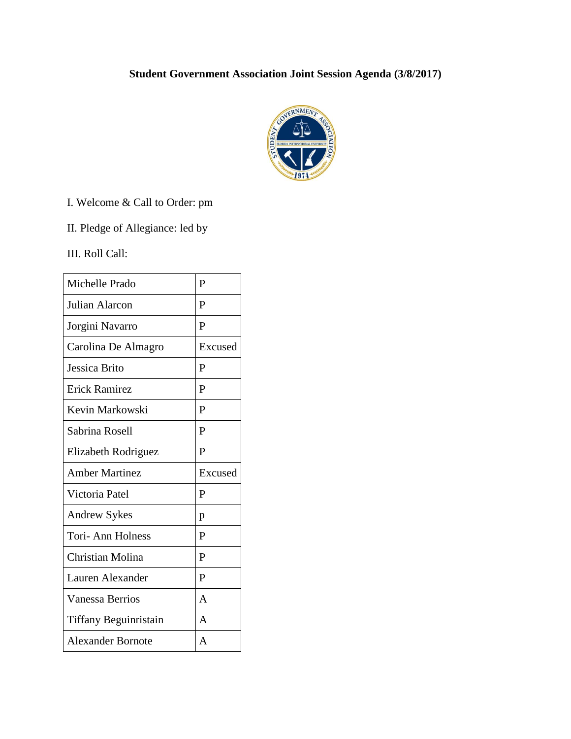## **Student Government Association Joint Session Agenda (3/8/2017)**



I. Welcome & Call to Order: pm

II. Pledge of Allegiance: led by

III. Roll Call:

| Michelle Prado        | $\mathbf{P}$ |
|-----------------------|--------------|
| Julian Alarcon        | P            |
| Jorgini Navarro       | $\mathbf{P}$ |
| Carolina De Almagro   | Excused      |
| Jessica Brito         | P            |
| <b>Erick Ramirez</b>  | $\mathbf{P}$ |
| Kevin Markowski       | P            |
| Sabrina Rosell        | P            |
| Elizabeth Rodriguez   | P            |
|                       |              |
| <b>Amber Martinez</b> | Excused      |
| Victoria Patel        | P            |
| <b>Andrew Sykes</b>   | p            |
| Tori- Ann Holness     | P            |
| Christian Molina      | P            |
| Lauren Alexander      | $\mathbf{P}$ |
| Vanessa Berrios       | A            |
| Tiffany Beguinristain | $\mathsf{A}$ |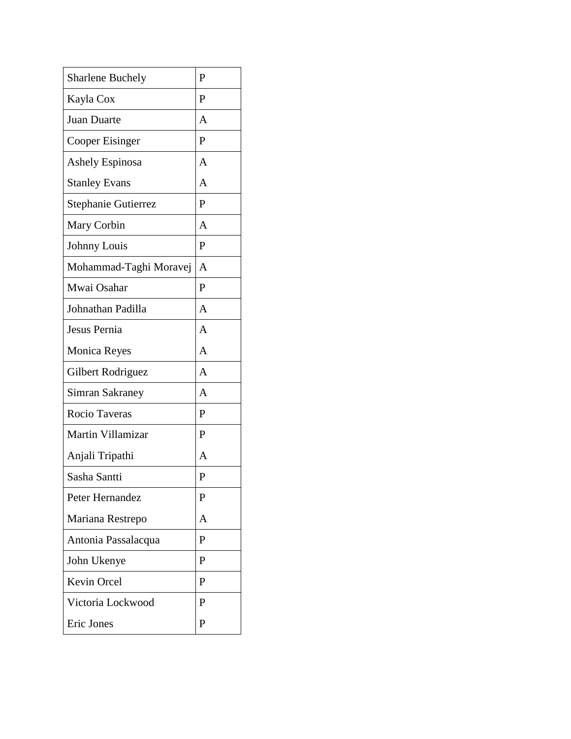| <b>Sharlene Buchely</b> | $\mathbf{P}$   |
|-------------------------|----------------|
| Kayla Cox               | $\mathbf{P}$   |
| Juan Duarte             | A              |
| Cooper Eisinger         | P              |
| Ashely Espinosa         | A              |
| <b>Stanley Evans</b>    | A              |
| Stephanie Gutierrez     | P              |
| Mary Corbin             | A              |
| Johnny Louis            | $\mathbf{P}$   |
| Mohammad-Taghi Moravej  | $\overline{A}$ |
| Mwai Osahar             | $\mathbf{P}$   |
| Johnathan Padilla       | A              |
| Jesus Pernia            | A              |
| <b>Monica Reyes</b>     | $\overline{A}$ |
| Gilbert Rodriguez       | A              |
| Simran Sakraney         | A              |
| Rocio Taveras           | $\mathbf{P}$   |
| Martin Villamizar       | $\mathbf{P}$   |
| Anjali Tripathi         | A              |
| Sasha Santti            | P              |
| Peter Hernandez         | P              |
| Mariana Restrepo        | A              |
| Antonia Passalacqua     | P              |
| John Ukenye             | P              |
| Kevin Orcel             | P              |
| Victoria Lockwood       | $\mathbf{P}$   |
| <b>Eric Jones</b>       | P              |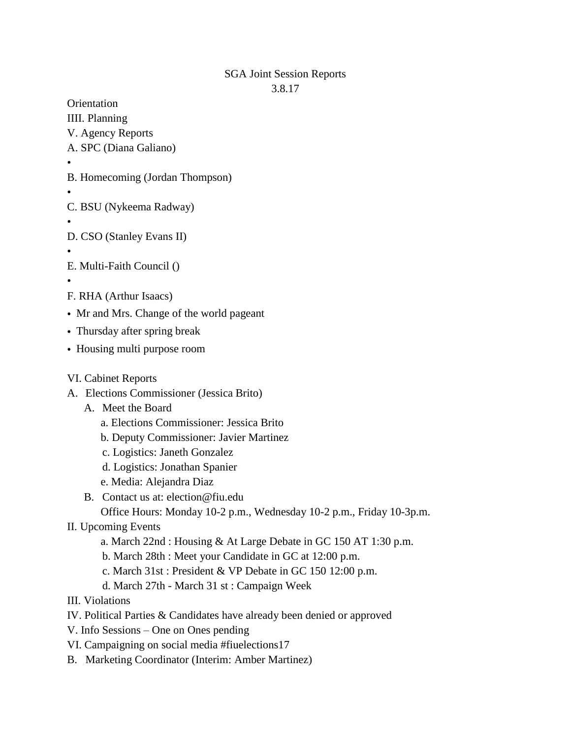## SGA Joint Session Reports 3.8.17

**Orientation** 

- IIII. Planning
- V. Agency Reports
- A. SPC (Diana Galiano)
- •
- B. Homecoming (Jordan Thompson)
- •
- C. BSU (Nykeema Radway)
- D. CSO (Stanley Evans II)
- •
- E. Multi-Faith Council ()
- •
- F. RHA (Arthur Isaacs)
- Mr and Mrs. Change of the world pageant
- Thursday after spring break
- Housing multi purpose room
- VI. Cabinet Reports
- A. Elections Commissioner (Jessica Brito)
	- A. Meet the Board
		- a. Elections Commissioner: Jessica Brito
		- b. Deputy Commissioner: Javier Martinez
		- c. Logistics: Janeth Gonzalez
		- d. Logistics: Jonathan Spanier
		- e. Media: Alejandra Diaz
	- B. Contact us at: election@fiu.edu
		- Office Hours: Monday 10-2 p.m., Wednesday 10-2 p.m., Friday 10-3p.m.

## II. Upcoming Events

- a. March 22nd : Housing & At Large Debate in GC 150 AT 1:30 p.m.
- b. March 28th : Meet your Candidate in GC at 12:00 p.m.
- c. March 31st : President & VP Debate in GC 150 12:00 p.m.
- d. March 27th March 31 st : Campaign Week
- III. Violations
- IV. Political Parties & Candidates have already been denied or approved
- V. Info Sessions One on Ones pending
- VI. Campaigning on social media #fiuelections17
- B. Marketing Coordinator (Interim: Amber Martinez)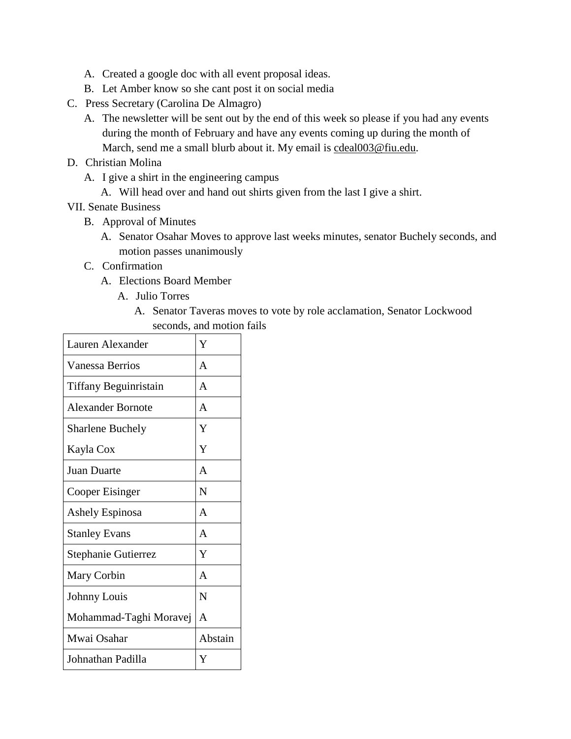- A. Created a google doc with all event proposal ideas.
- B. Let Amber know so she cant post it on social media
- C. Press Secretary (Carolina De Almagro)
	- A. The newsletter will be sent out by the end of this week so please if you had any events during the month of February and have any events coming up during the month of March, send me a small blurb about it. My email is [cdeal003@fiu.edu.](mailto:cdeal003@fiu.edu)
- D. Christian Molina
	- A. I give a shirt in the engineering campus
		- A. Will head over and hand out shirts given from the last I give a shirt.

VII. Senate Business

- B. Approval of Minutes
	- A. Senator Osahar Moves to approve last weeks minutes, senator Buchely seconds, and motion passes unanimously
- C. Confirmation
	- A. Elections Board Member
		- A. Julio Torres
			- A. Senator Taveras moves to vote by role acclamation, Senator Lockwood seconds, and motion fails

| Lauren Alexander        | Y            |
|-------------------------|--------------|
| Vanessa Berrios         | $\mathsf{A}$ |
| Tiffany Beguinristain   | A            |
| Alexander Bornote       | A            |
| <b>Sharlene Buchely</b> | Y            |
| Kayla Cox               | Y            |
| Juan Duarte             | $\mathsf{A}$ |
| Cooper Eisinger         | N            |
| Ashely Espinosa         | $\mathsf{A}$ |
| <b>Stanley Evans</b>    | $\mathsf{A}$ |
| Stephanie Gutierrez     | Y            |
| Mary Corbin             | $\mathsf{A}$ |
| Johnny Louis            | N            |
| Mohammad-Taghi Moravej  | A            |
| Mwai Osahar             | Abstain      |
| Johnathan Padilla       | Y            |
|                         |              |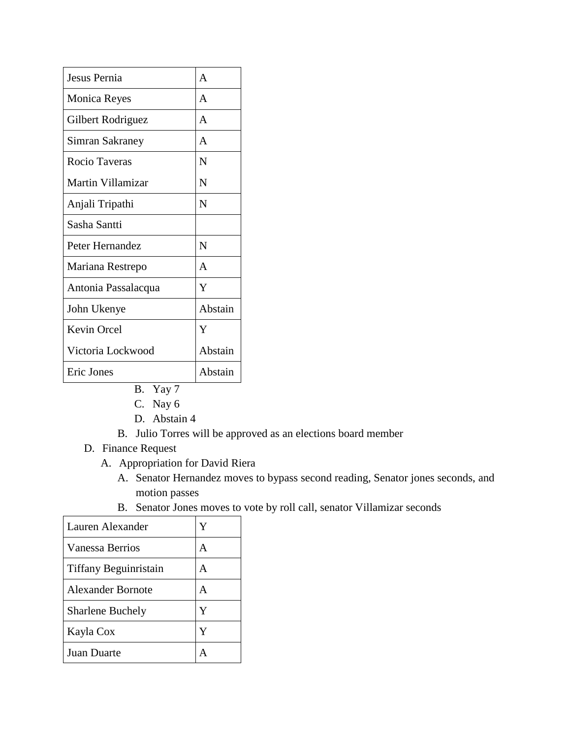| Jesus Pernia        |              |
|---------------------|--------------|
| Monica Reyes        | A            |
| Gilbert Rodriguez   | A            |
| Simran Sakraney     | A            |
| Rocio Taveras       | N            |
| Martin Villamizar   | N            |
| Anjali Tripathi     | N            |
| Sasha Santti        |              |
| Peter Hernandez     | N            |
| Mariana Restrepo    | $\mathsf{A}$ |
| Antonia Passalacqua | Y            |
| John Ukenye         | Abstain      |
| Kevin Orcel         | Y            |
| Victoria Lockwood   | Abstain      |
| Eric Jones          | Abstain      |

- B. Yay 7
- C. Nay 6
- D. Abstain 4
- B. Julio Torres will be approved as an elections board member
- D. Finance Request
	- A. Appropriation for David Riera
		- A. Senator Hernandez moves to bypass second reading, Senator jones seconds, and motion passes
		- B. Senator Jones moves to vote by roll call, senator Villamizar seconds

| Lauren Alexander        | Y |
|-------------------------|---|
| Vanessa Berrios         | А |
| Tiffany Beguinristain   | А |
| Alexander Bornote       | А |
| <b>Sharlene Buchely</b> | Y |
| Kayla Cox               | Y |
| <b>Juan Duarte</b>      |   |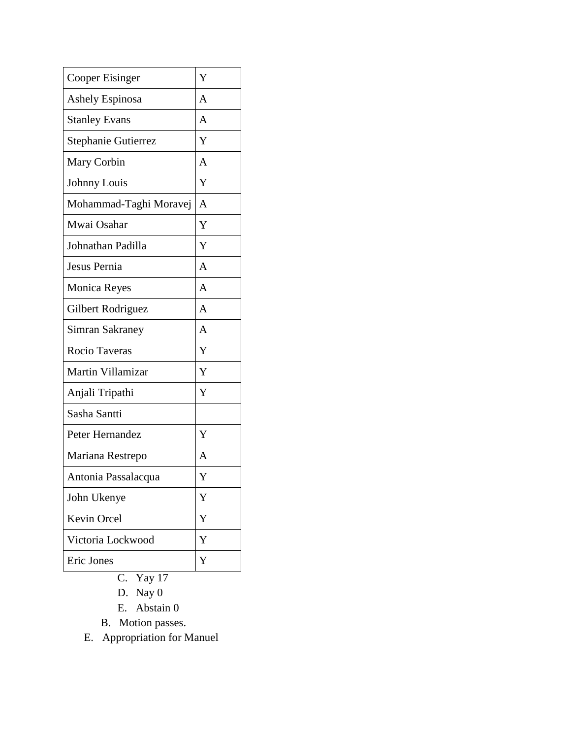| Cooper Eisinger        | Y |
|------------------------|---|
| <b>Ashely Espinosa</b> | A |
| <b>Stanley Evans</b>   | A |
| Stephanie Gutierrez    | Y |
| Mary Corbin            | A |
| Johnny Louis           | Y |
| Mohammad-Taghi Moravej | A |
| Mwai Osahar            | Y |
| Johnathan Padilla      | Y |
| Jesus Pernia           | A |
| <b>Monica Reyes</b>    | A |
| Gilbert Rodriguez      | A |
| Simran Sakraney        | A |
| Rocio Taveras          | Y |
| Martin Villamizar      | Y |
| Anjali Tripathi        | Y |
| Sasha Santti           |   |
| Peter Hernandez        | Y |
| Mariana Restrepo       | A |
| Antonia Passalacqua    | Y |
| John Ukenye            | Y |
| <b>Kevin Orcel</b>     | Y |
| Victoria Lockwood      | Y |
| Eric Jones             | Y |
|                        |   |

- C. Yay 17
- D. Nay 0
- E. Abstain 0
- B. Motion passes.
- E. Appropriation for Manuel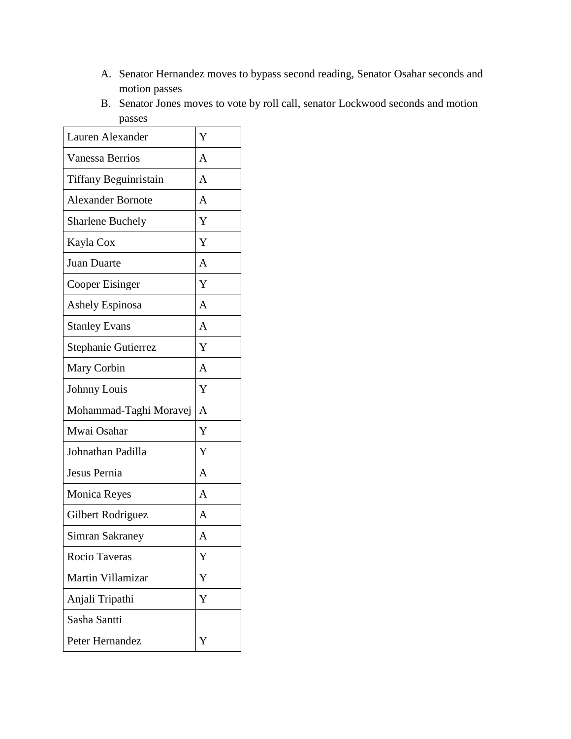- A. Senator Hernandez moves to bypass second reading, Senator Osahar seconds and motion passes
- B. Senator Jones moves to vote by roll call, senator Lockwood seconds and motion passes

| Lauren Alexander             | Y              |
|------------------------------|----------------|
| <b>Vanessa Berrios</b>       | A              |
| <b>Tiffany Beguinristain</b> | A              |
| <b>Alexander Bornote</b>     | A              |
| <b>Sharlene Buchely</b>      | Y              |
| Kayla Cox                    | Y              |
| Juan Duarte                  | $\overline{A}$ |
| Cooper Eisinger              | Y              |
| <b>Ashely Espinosa</b>       | $\overline{A}$ |
| <b>Stanley Evans</b>         | $\overline{A}$ |
| Stephanie Gutierrez          | Y              |
| Mary Corbin                  | A              |
| Johnny Louis                 | Y              |
| Mohammad-Taghi Moravej       | $\overline{A}$ |
| Mwai Osahar                  | Y              |
| Johnathan Padilla            | Y              |
| Jesus Pernia                 | $\overline{A}$ |
| Monica Reyes                 | $\overline{A}$ |
| Gilbert Rodriguez            | A              |
| Simran Sakraney              | A              |
| Rocio Taveras                | Y              |
| Martin Villamizar            | Y              |
| Anjali Tripathi              | Y              |
| Sasha Santti                 |                |
| Peter Hernandez              | Y              |
|                              |                |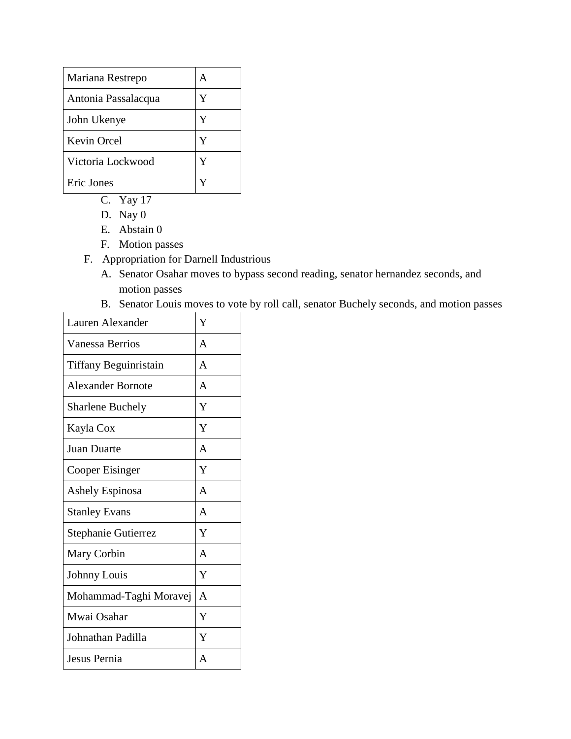| Mariana Restrepo    |   |
|---------------------|---|
| Antonia Passalacqua | Y |
| John Ukenye         | Y |
| Kevin Orcel         | Y |
| Victoria Lockwood   | Y |
| Eric Jones          |   |

- C. Yay 17
- D. Nay 0
- E. Abstain 0
- F. Motion passes
- F. Appropriation for Darnell Industrious
	- A. Senator Osahar moves to bypass second reading, senator hernandez seconds, and motion passes
	- B. Senator Louis moves to vote by roll call, senator Buchely seconds, and motion passes

| Lauren Alexander         | Y              |
|--------------------------|----------------|
| <b>Vanessa Berrios</b>   | A              |
| Tiffany Beguinristain    | A              |
| <b>Alexander Bornote</b> | A              |
| <b>Sharlene Buchely</b>  | Y              |
| Kayla Cox                | Y              |
| <b>Juan Duarte</b>       | A              |
| Cooper Eisinger          | Y              |
| <b>Ashely Espinosa</b>   | $\mathsf{A}$   |
| <b>Stanley Evans</b>     | A              |
| Stephanie Gutierrez      | Y              |
| Mary Corbin              | A              |
| Johnny Louis             | Y              |
| Mohammad-Taghi Moravej   | A              |
| Mwai Osahar              | Y              |
| Johnathan Padilla        | Y              |
| Jesus Pernia             | $\overline{A}$ |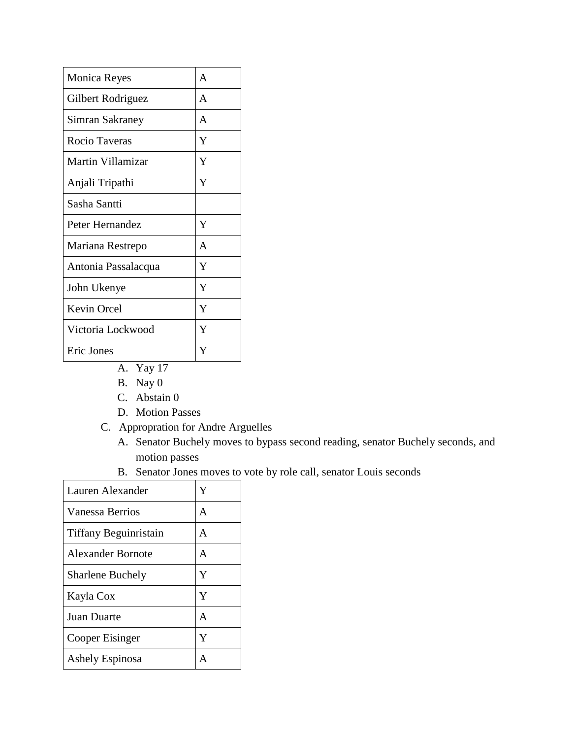| <b>Monica Reyes</b> | A |
|---------------------|---|
| Gilbert Rodriguez   | A |
| Simran Sakraney     | A |
| Rocio Taveras       | Y |
| Martin Villamizar   | Y |
| Anjali Tripathi     | Y |
| Sasha Santti        |   |
| Peter Hernandez     | Y |
| Mariana Restrepo    | A |
| Antonia Passalacqua | Y |
| John Ukenye         | Y |
| Kevin Orcel         | Y |
| Victoria Lockwood   | Y |
| Eric Jones          | Y |

- A. Yay 17
- B. Nay 0
- C. Abstain 0
- D. Motion Passes
- C. Appropration for Andre Arguelles
	- A. Senator Buchely moves to bypass second reading, senator Buchely seconds, and motion passes
	- B. Senator Jones moves to vote by role call, senator Louis seconds

| Lauren Alexander        | Y |
|-------------------------|---|
| Vanessa Berrios         | A |
| Tiffany Beguinristain   | A |
| Alexander Bornote       | A |
| <b>Sharlene Buchely</b> | Y |
| Kayla Cox               | Y |
| Juan Duarte             | A |
| Cooper Eisinger         | Y |
| Ashely Espinosa         | А |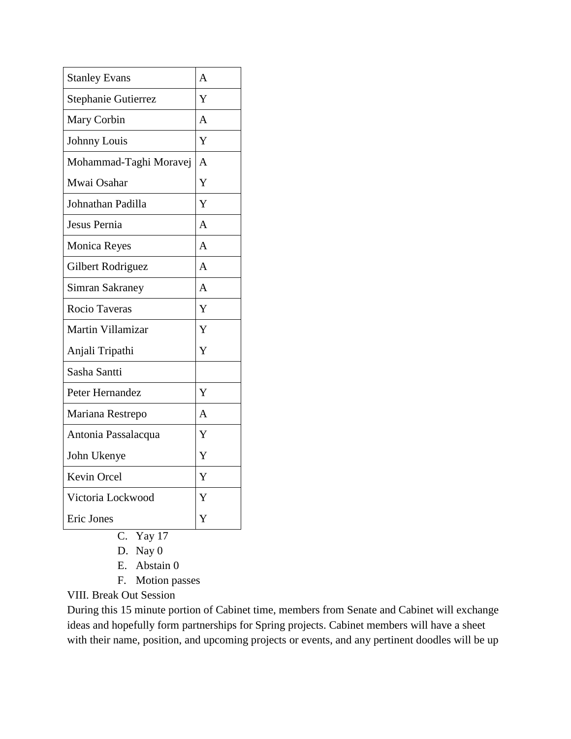| <b>Stanley Evans</b>       | A              |
|----------------------------|----------------|
| <b>Stephanie Gutierrez</b> | Y              |
| Mary Corbin                | A              |
| Johnny Louis               | Y              |
| Mohammad-Taghi Moravej     | $\overline{A}$ |
| Mwai Osahar                | Y              |
| Johnathan Padilla          | Y              |
| Jesus Pernia               | $\overline{A}$ |
| Monica Reyes               | A              |
| Gilbert Rodriguez          | $\overline{A}$ |
| Simran Sakraney            | $\overline{A}$ |
| Rocio Taveras              | Y              |
| Martin Villamizar          | Y              |
| Anjali Tripathi            | Y              |
| Sasha Santti               |                |
| Peter Hernandez            | Y              |
| Mariana Restrepo           | A              |
| Antonia Passalacqua        | Y              |
| John Ukenye                | Y              |
| <b>Kevin Orcel</b>         | Y              |
| Victoria Lockwood          |                |
|                            | Y              |
| Eric Jones                 | Y              |

- C. Yay 17
- D. Nay 0
- E. Abstain 0
- F. Motion passes

VIII. Break Out Session

During this 15 minute portion of Cabinet time, members from Senate and Cabinet will exchange ideas and hopefully form partnerships for Spring projects. Cabinet members will have a sheet with their name, position, and upcoming projects or events, and any pertinent doodles will be up